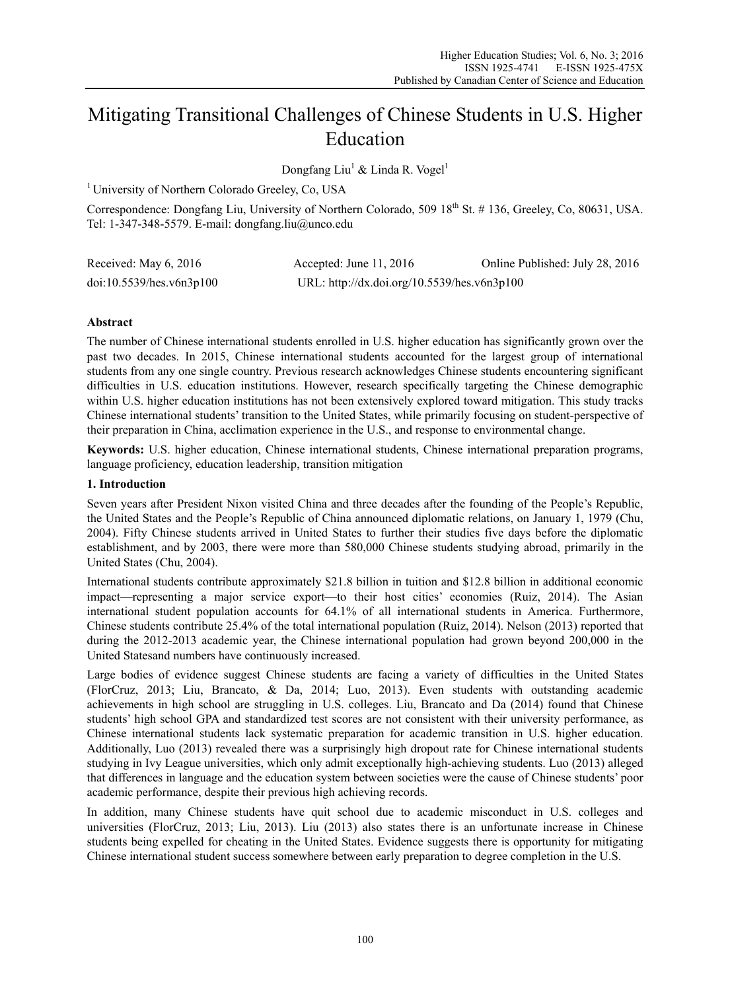# Mitigating Transitional Challenges of Chinese Students in U.S. Higher Education

Dongfang Liu<sup>1</sup> & Linda R. Vogel<sup>1</sup>

<sup>1</sup> University of Northern Colorado Greeley, Co, USA

Correspondence: Dongfang Liu, University of Northern Colorado, 509 18<sup>th</sup> St. # 136, Greeley, Co, 80631, USA. Tel: 1-347-348-5579. E-mail: dongfang.liu@unco.edu

| Received: May 6, 2016    | Accepted: June 11, $2016$                   | Online Published: July 28, 2016 |
|--------------------------|---------------------------------------------|---------------------------------|
| doi:10.5539/hes.v6n3p100 | URL: http://dx.doi.org/10.5539/hes.v6n3p100 |                                 |

# **Abstract**

The number of Chinese international students enrolled in U.S. higher education has significantly grown over the past two decades. In 2015, Chinese international students accounted for the largest group of international students from any one single country. Previous research acknowledges Chinese students encountering significant difficulties in U.S. education institutions. However, research specifically targeting the Chinese demographic within U.S. higher education institutions has not been extensively explored toward mitigation. This study tracks Chinese international students' transition to the United States, while primarily focusing on student-perspective of their preparation in China, acclimation experience in the U.S., and response to environmental change.

**Keywords:** U.S. higher education, Chinese international students, Chinese international preparation programs, language proficiency, education leadership, transition mitigation

# **1. Introduction**

Seven years after President Nixon visited China and three decades after the founding of the People's Republic, the United States and the People's Republic of China announced diplomatic relations, on January 1, 1979 (Chu, 2004). Fifty Chinese students arrived in United States to further their studies five days before the diplomatic establishment, and by 2003, there were more than 580,000 Chinese students studying abroad, primarily in the United States (Chu, 2004).

International students contribute approximately \$21.8 billion in tuition and \$12.8 billion in additional economic impact—representing a major service export—to their host cities' economies (Ruiz, 2014). The Asian international student population accounts for 64.1% of all international students in America. Furthermore, Chinese students contribute 25.4% of the total international population (Ruiz, 2014). Nelson (2013) reported that during the 2012-2013 academic year, the Chinese international population had grown beyond 200,000 in the United Statesand numbers have continuously increased.

Large bodies of evidence suggest Chinese students are facing a variety of difficulties in the United States (FlorCruz, 2013; Liu, Brancato, & Da, 2014; Luo, 2013). Even students with outstanding academic achievements in high school are struggling in U.S. colleges. Liu, Brancato and Da (2014) found that Chinese students' high school GPA and standardized test scores are not consistent with their university performance, as Chinese international students lack systematic preparation for academic transition in U.S. higher education. Additionally, Luo (2013) revealed there was a surprisingly high dropout rate for Chinese international students studying in Ivy League universities, which only admit exceptionally high-achieving students. Luo (2013) alleged that differences in language and the education system between societies were the cause of Chinese students' poor academic performance, despite their previous high achieving records.

In addition, many Chinese students have quit school due to academic misconduct in U.S. colleges and universities (FlorCruz, 2013; Liu, 2013). Liu (2013) also states there is an unfortunate increase in Chinese students being expelled for cheating in the United States. Evidence suggests there is opportunity for mitigating Chinese international student success somewhere between early preparation to degree completion in the U.S.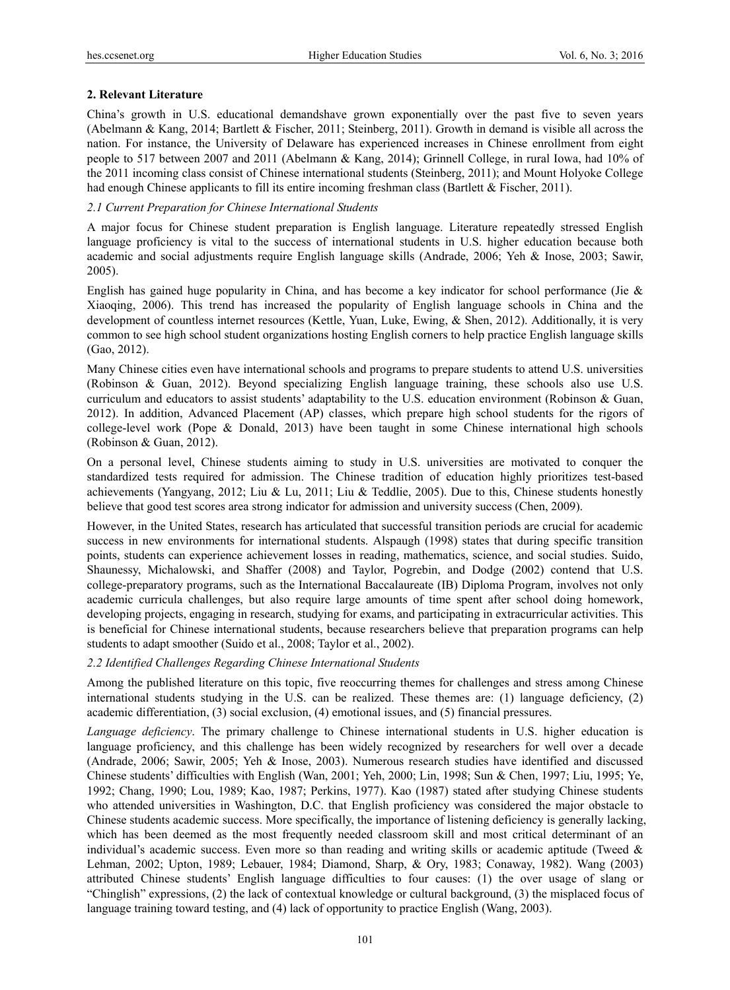# **2. Relevant Literature**

China's growth in U.S. educational demandshave grown exponentially over the past five to seven years (Abelmann & Kang, 2014; Bartlett & Fischer, 2011; Steinberg, 2011). Growth in demand is visible all across the nation. For instance, the University of Delaware has experienced increases in Chinese enrollment from eight people to 517 between 2007 and 2011 (Abelmann & Kang, 2014); Grinnell College, in rural Iowa, had 10% of the 2011 incoming class consist of Chinese international students (Steinberg, 2011); and Mount Holyoke College had enough Chinese applicants to fill its entire incoming freshman class (Bartlett & Fischer, 2011).

# *2.1 Current Preparation for Chinese International Students*

A major focus for Chinese student preparation is English language. Literature repeatedly stressed English language proficiency is vital to the success of international students in U.S. higher education because both academic and social adjustments require English language skills (Andrade, 2006; Yeh & Inose, 2003; Sawir, 2005).

English has gained huge popularity in China, and has become a key indicator for school performance (Jie  $\&$ Xiaoqing, 2006). This trend has increased the popularity of English language schools in China and the development of countless internet resources (Kettle, Yuan, Luke, Ewing, & Shen, 2012). Additionally, it is very common to see high school student organizations hosting English corners to help practice English language skills (Gao, 2012).

Many Chinese cities even have international schools and programs to prepare students to attend U.S. universities (Robinson & Guan, 2012). Beyond specializing English language training, these schools also use U.S. curriculum and educators to assist students' adaptability to the U.S. education environment (Robinson & Guan, 2012). In addition, Advanced Placement (AP) classes, which prepare high school students for the rigors of college-level work (Pope & Donald, 2013) have been taught in some Chinese international high schools (Robinson & Guan, 2012).

On a personal level, Chinese students aiming to study in U.S. universities are motivated to conquer the standardized tests required for admission. The Chinese tradition of education highly prioritizes test-based achievements (Yangyang, 2012; Liu & Lu, 2011; Liu & Teddlie, 2005). Due to this, Chinese students honestly believe that good test scores area strong indicator for admission and university success (Chen, 2009).

However, in the United States, research has articulated that successful transition periods are crucial for academic success in new environments for international students. Alspaugh (1998) states that during specific transition points, students can experience achievement losses in reading, mathematics, science, and social studies. Suido, Shaunessy, Michalowski, and Shaffer (2008) and Taylor, Pogrebin, and Dodge (2002) contend that U.S. college-preparatory programs, such as the International Baccalaureate (IB) Diploma Program, involves not only academic curricula challenges, but also require large amounts of time spent after school doing homework, developing projects, engaging in research, studying for exams, and participating in extracurricular activities. This is beneficial for Chinese international students, because researchers believe that preparation programs can help students to adapt smoother (Suido et al., 2008; Taylor et al., 2002).

# *2.2 Identified Challenges Regarding Chinese International Students*

Among the published literature on this topic, five reoccurring themes for challenges and stress among Chinese international students studying in the U.S. can be realized. These themes are: (1) language deficiency, (2) academic differentiation, (3) social exclusion, (4) emotional issues, and (5) financial pressures.

*Language deficiency*. The primary challenge to Chinese international students in U.S. higher education is language proficiency, and this challenge has been widely recognized by researchers for well over a decade (Andrade, 2006; Sawir, 2005; Yeh & Inose, 2003). Numerous research studies have identified and discussed Chinese students' difficulties with English (Wan, 2001; Yeh, 2000; Lin, 1998; Sun & Chen, 1997; Liu, 1995; Ye, 1992; Chang, 1990; Lou, 1989; Kao, 1987; Perkins, 1977). Kao (1987) stated after studying Chinese students who attended universities in Washington, D.C. that English proficiency was considered the major obstacle to Chinese students academic success. More specifically, the importance of listening deficiency is generally lacking, which has been deemed as the most frequently needed classroom skill and most critical determinant of an individual's academic success. Even more so than reading and writing skills or academic aptitude (Tweed  $\&$ Lehman, 2002; Upton, 1989; Lebauer, 1984; Diamond, Sharp, & Ory, 1983; Conaway, 1982). Wang (2003) attributed Chinese students' English language difficulties to four causes: (1) the over usage of slang or "Chinglish" expressions, (2) the lack of contextual knowledge or cultural background, (3) the misplaced focus of language training toward testing, and (4) lack of opportunity to practice English (Wang, 2003).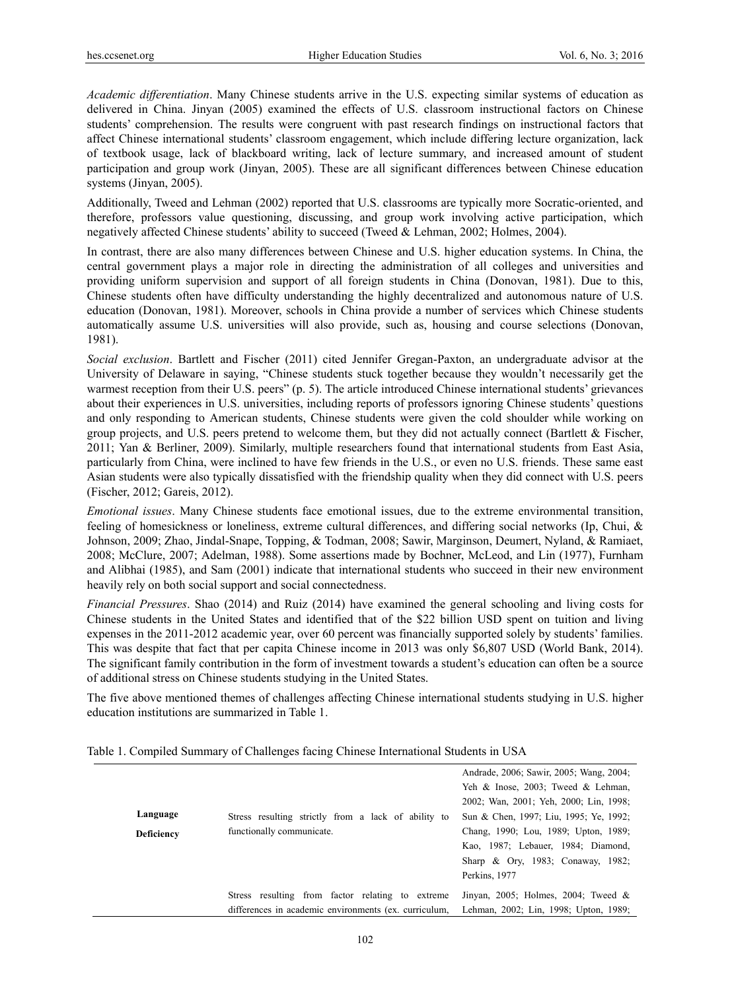*Academic differentiation*. Many Chinese students arrive in the U.S. expecting similar systems of education as delivered in China. Jinyan (2005) examined the effects of U.S. classroom instructional factors on Chinese students' comprehension. The results were congruent with past research findings on instructional factors that affect Chinese international students' classroom engagement, which include differing lecture organization, lack of textbook usage, lack of blackboard writing, lack of lecture summary, and increased amount of student participation and group work (Jinyan, 2005). These are all significant differences between Chinese education systems (Jinyan, 2005).

Additionally, Tweed and Lehman (2002) reported that U.S. classrooms are typically more Socratic-oriented, and therefore, professors value questioning, discussing, and group work involving active participation, which negatively affected Chinese students' ability to succeed (Tweed & Lehman, 2002; Holmes, 2004).

In contrast, there are also many differences between Chinese and U.S. higher education systems. In China, the central government plays a major role in directing the administration of all colleges and universities and providing uniform supervision and support of all foreign students in China (Donovan, 1981). Due to this, Chinese students often have difficulty understanding the highly decentralized and autonomous nature of U.S. education (Donovan, 1981). Moreover, schools in China provide a number of services which Chinese students automatically assume U.S. universities will also provide, such as, housing and course selections (Donovan, 1981).

*Social exclusion*. Bartlett and Fischer (2011) cited Jennifer Gregan-Paxton, an undergraduate advisor at the University of Delaware in saying, "Chinese students stuck together because they wouldn't necessarily get the warmest reception from their U.S. peers" (p. 5). The article introduced Chinese international students' grievances about their experiences in U.S. universities, including reports of professors ignoring Chinese students' questions and only responding to American students, Chinese students were given the cold shoulder while working on group projects, and U.S. peers pretend to welcome them, but they did not actually connect (Bartlett & Fischer, 2011; Yan & Berliner, 2009). Similarly, multiple researchers found that international students from East Asia, particularly from China, were inclined to have few friends in the U.S., or even no U.S. friends. These same east Asian students were also typically dissatisfied with the friendship quality when they did connect with U.S. peers (Fischer, 2012; Gareis, 2012).

*Emotional issues*. Many Chinese students face emotional issues, due to the extreme environmental transition, feeling of homesickness or loneliness, extreme cultural differences, and differing social networks (Ip, Chui, & Johnson, 2009; Zhao, Jindal-Snape, Topping, & Todman, 2008; Sawir, Marginson, Deumert, Nyland, & Ramiaet, 2008; McClure, 2007; Adelman, 1988). Some assertions made by Bochner, McLeod, and Lin (1977), Furnham and Alibhai (1985), and Sam (2001) indicate that international students who succeed in their new environment heavily rely on both social support and social connectedness.

*Financial Pressures*. Shao (2014) and Ruiz (2014) have examined the general schooling and living costs for Chinese students in the United States and identified that of the \$22 billion USD spent on tuition and living expenses in the 2011-2012 academic year, over 60 percent was financially supported solely by students' families. This was despite that fact that per capita Chinese income in 2013 was only \$6,807 USD (World Bank, 2014). The significant family contribution in the form of investment towards a student's education can often be a source of additional stress on Chinese students studying in the United States.

The five above mentioned themes of challenges affecting Chinese international students studying in U.S. higher education institutions are summarized in Table 1.

|            |                                                       | Andrade, 2006; Sawir, 2005; Wang, 2004; |
|------------|-------------------------------------------------------|-----------------------------------------|
|            |                                                       | Yeh & Inose, 2003; Tweed & Lehman,      |
|            |                                                       | 2002; Wan, 2001; Yeh, 2000; Lin, 1998;  |
| Language   | Stress resulting strictly from a lack of ability to   | Sun & Chen, 1997; Liu, 1995; Ye, 1992;  |
| Deficiency | functionally communicate.                             | Chang, 1990; Lou, 1989; Upton, 1989;    |
|            |                                                       | Kao, 1987; Lebauer, 1984; Diamond,      |
|            |                                                       | Sharp & Ory, 1983; Conaway, 1982;       |
|            |                                                       | Perkins, 1977                           |
|            | Stress resulting from factor relating to extreme      | Jinyan, 2005; Holmes, 2004; Tweed $&$   |
|            | differences in academic environments (ex. curriculum, | Lehman, 2002; Lin, 1998; Upton, 1989;   |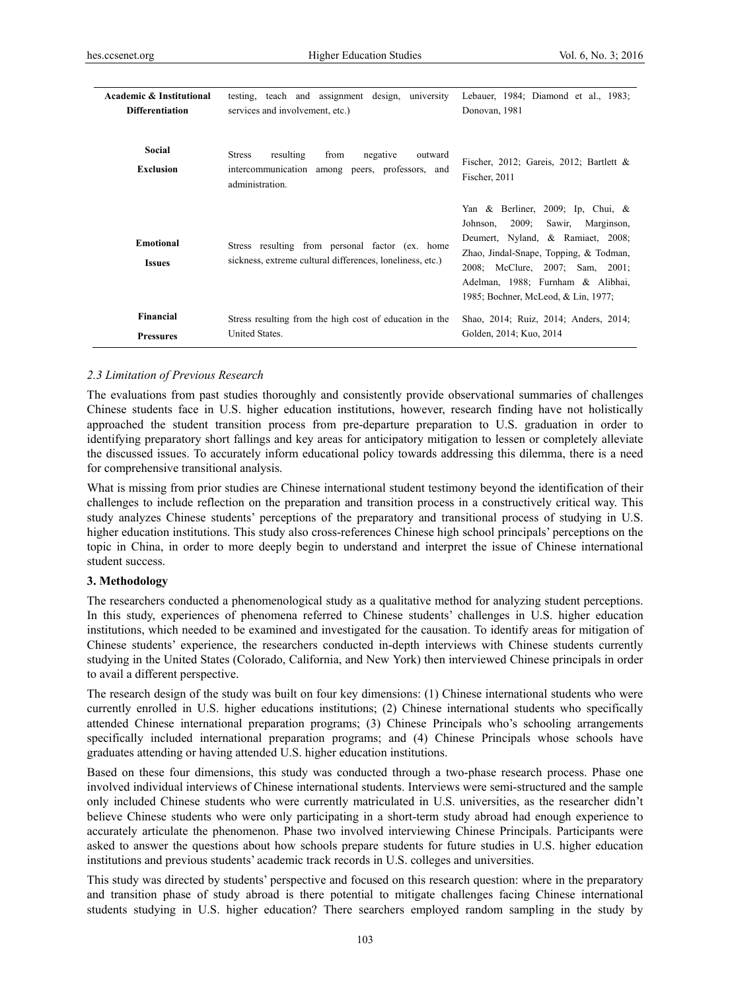| <b>Academic &amp; Institutional</b> | testing, teach and assignment design, university                                                                                | Lebauer, 1984; Diamond et al., 1983;                                                                                                                                                                                                                                         |
|-------------------------------------|---------------------------------------------------------------------------------------------------------------------------------|------------------------------------------------------------------------------------------------------------------------------------------------------------------------------------------------------------------------------------------------------------------------------|
| <b>Differentiation</b>              | services and involvement, etc.)                                                                                                 | Donovan, 1981                                                                                                                                                                                                                                                                |
| Social<br><b>Exclusion</b>          | resulting<br><b>Stress</b><br>from<br>negative<br>outward<br>intercommunication among peers, professors, and<br>administration. | Fischer, 2012; Gareis, 2012; Bartlett $\&$<br>Fischer, 2011                                                                                                                                                                                                                  |
| <b>Emotional</b><br><b>Issues</b>   | Stress resulting from personal factor (ex. home<br>sickness, extreme cultural differences, loneliness, etc.)                    | Yan & Berliner, 2009; Ip, Chui, &<br>Sawir,<br>Johnson,<br>2009;<br>Marginson,<br>Deumert, Nyland, & Ramiaet, 2008;<br>Zhao, Jindal-Snape, Topping, & Todman,<br>2008; McClure, 2007; Sam, 2001;<br>Adelman, 1988; Furnham & Alibhai,<br>1985; Bochner, McLeod, & Lin, 1977; |
| <b>Financial</b>                    | Stress resulting from the high cost of education in the                                                                         | Shao, 2014; Ruiz, 2014; Anders, 2014;                                                                                                                                                                                                                                        |
| <b>Pressures</b>                    | United States.                                                                                                                  | Golden, 2014; Kuo, 2014                                                                                                                                                                                                                                                      |

# *2.3 Limitation of Previous Research*

The evaluations from past studies thoroughly and consistently provide observational summaries of challenges Chinese students face in U.S. higher education institutions, however, research finding have not holistically approached the student transition process from pre-departure preparation to U.S. graduation in order to identifying preparatory short fallings and key areas for anticipatory mitigation to lessen or completely alleviate the discussed issues. To accurately inform educational policy towards addressing this dilemma, there is a need for comprehensive transitional analysis.

What is missing from prior studies are Chinese international student testimony beyond the identification of their challenges to include reflection on the preparation and transition process in a constructively critical way. This study analyzes Chinese students' perceptions of the preparatory and transitional process of studying in U.S. higher education institutions. This study also cross-references Chinese high school principals' perceptions on the topic in China, in order to more deeply begin to understand and interpret the issue of Chinese international student success.

# **3. Methodology**

The researchers conducted a phenomenological study as a qualitative method for analyzing student perceptions. In this study, experiences of phenomena referred to Chinese students' challenges in U.S. higher education institutions, which needed to be examined and investigated for the causation. To identify areas for mitigation of Chinese students' experience, the researchers conducted in-depth interviews with Chinese students currently studying in the United States (Colorado, California, and New York) then interviewed Chinese principals in order to avail a different perspective.

The research design of the study was built on four key dimensions: (1) Chinese international students who were currently enrolled in U.S. higher educations institutions; (2) Chinese international students who specifically attended Chinese international preparation programs; (3) Chinese Principals who's schooling arrangements specifically included international preparation programs; and (4) Chinese Principals whose schools have graduates attending or having attended U.S. higher education institutions.

Based on these four dimensions, this study was conducted through a two-phase research process. Phase one involved individual interviews of Chinese international students. Interviews were semi-structured and the sample only included Chinese students who were currently matriculated in U.S. universities, as the researcher didn't believe Chinese students who were only participating in a short-term study abroad had enough experience to accurately articulate the phenomenon. Phase two involved interviewing Chinese Principals. Participants were asked to answer the questions about how schools prepare students for future studies in U.S. higher education institutions and previous students' academic track records in U.S. colleges and universities.

This study was directed by students' perspective and focused on this research question: where in the preparatory and transition phase of study abroad is there potential to mitigate challenges facing Chinese international students studying in U.S. higher education? There searchers employed random sampling in the study by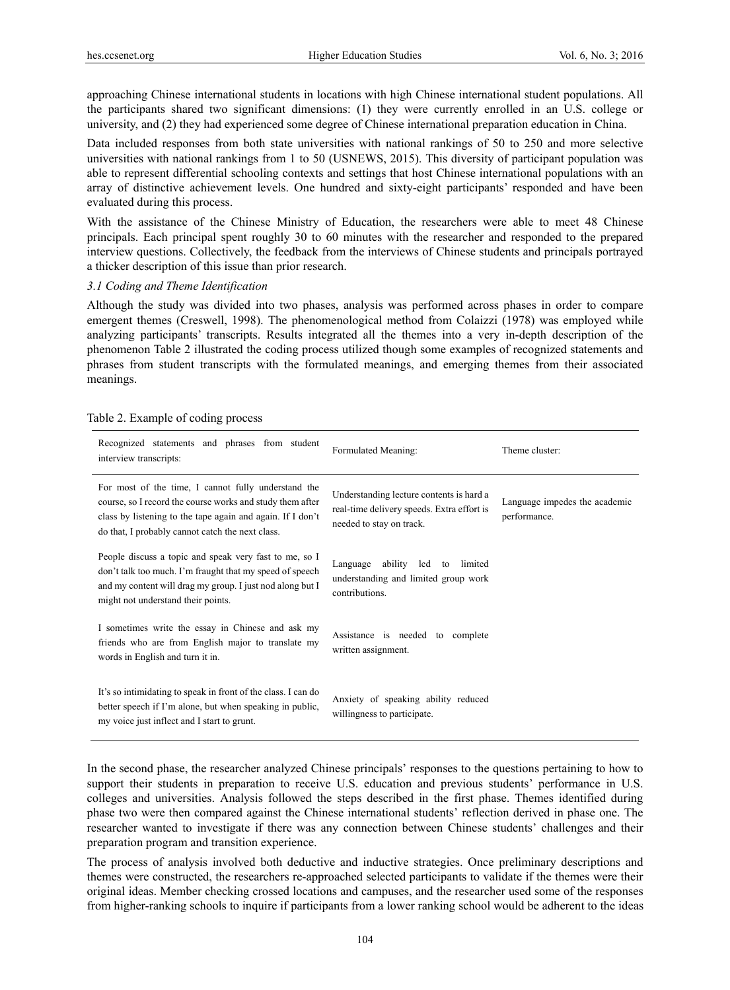approaching Chinese international students in locations with high Chinese international student populations. All the participants shared two significant dimensions: (1) they were currently enrolled in an U.S. college or university, and (2) they had experienced some degree of Chinese international preparation education in China.

Data included responses from both state universities with national rankings of 50 to 250 and more selective universities with national rankings from 1 to 50 (USNEWS, 2015). This diversity of participant population was able to represent differential schooling contexts and settings that host Chinese international populations with an array of distinctive achievement levels. One hundred and sixty-eight participants' responded and have been evaluated during this process.

With the assistance of the Chinese Ministry of Education, the researchers were able to meet 48 Chinese principals. Each principal spent roughly 30 to 60 minutes with the researcher and responded to the prepared interview questions. Collectively, the feedback from the interviews of Chinese students and principals portrayed a thicker description of this issue than prior research.

#### *3.1 Coding and Theme Identification*

Although the study was divided into two phases, analysis was performed across phases in order to compare emergent themes (Creswell, 1998). The phenomenological method from Colaizzi (1978) was employed while analyzing participants' transcripts. Results integrated all the themes into a very in-depth description of the phenomenon Table 2 illustrated the coding process utilized though some examples of recognized statements and phrases from student transcripts with the formulated meanings, and emerging themes from their associated meanings.

# Table 2. Example of coding process

| Recognized statements and phrases from student<br>interview transcripts:                                                                                                                                                           | Formulated Meaning:                                                                                                | Theme cluster:                                |
|------------------------------------------------------------------------------------------------------------------------------------------------------------------------------------------------------------------------------------|--------------------------------------------------------------------------------------------------------------------|-----------------------------------------------|
| For most of the time, I cannot fully understand the<br>course, so I record the course works and study them after<br>class by listening to the tape again and again. If I don't<br>do that, I probably cannot catch the next class. | Understanding lecture contents is hard a<br>real-time delivery speeds. Extra effort is<br>needed to stay on track. | Language impedes the academic<br>performance. |
| People discuss a topic and speak very fast to me, so I<br>don't talk too much. I'm fraught that my speed of speech<br>and my content will drag my group. I just nod along but I<br>might not understand their points.              | Language<br>ability led to<br>limited<br>understanding and limited group work<br>contributions.                    |                                               |
| I sometimes write the essay in Chinese and ask my<br>friends who are from English major to translate my<br>words in English and turn it in.                                                                                        | Assistance is needed to complete<br>written assignment.                                                            |                                               |
| It's so intimidating to speak in front of the class. I can do<br>better speech if I'm alone, but when speaking in public,<br>my voice just inflect and I start to grunt.                                                           | Anxiety of speaking ability reduced<br>willingness to participate.                                                 |                                               |

In the second phase, the researcher analyzed Chinese principals' responses to the questions pertaining to how to support their students in preparation to receive U.S. education and previous students' performance in U.S. colleges and universities. Analysis followed the steps described in the first phase. Themes identified during phase two were then compared against the Chinese international students' reflection derived in phase one. The researcher wanted to investigate if there was any connection between Chinese students' challenges and their preparation program and transition experience.

The process of analysis involved both deductive and inductive strategies. Once preliminary descriptions and themes were constructed, the researchers re-approached selected participants to validate if the themes were their original ideas. Member checking crossed locations and campuses, and the researcher used some of the responses from higher-ranking schools to inquire if participants from a lower ranking school would be adherent to the ideas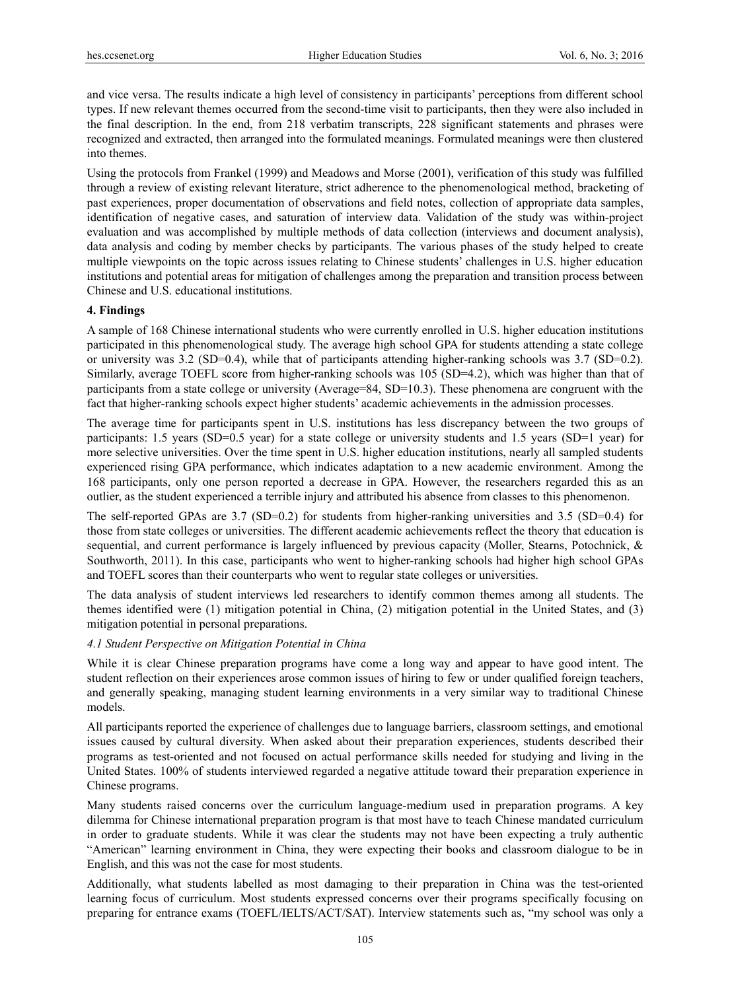and vice versa. The results indicate a high level of consistency in participants' perceptions from different school types. If new relevant themes occurred from the second-time visit to participants, then they were also included in the final description. In the end, from 218 verbatim transcripts, 228 significant statements and phrases were recognized and extracted, then arranged into the formulated meanings. Formulated meanings were then clustered into themes.

Using the protocols from Frankel (1999) and Meadows and Morse (2001), verification of this study was fulfilled through a review of existing relevant literature, strict adherence to the phenomenological method, bracketing of past experiences, proper documentation of observations and field notes, collection of appropriate data samples, identification of negative cases, and saturation of interview data. Validation of the study was within-project evaluation and was accomplished by multiple methods of data collection (interviews and document analysis), data analysis and coding by member checks by participants. The various phases of the study helped to create multiple viewpoints on the topic across issues relating to Chinese students' challenges in U.S. higher education institutions and potential areas for mitigation of challenges among the preparation and transition process between Chinese and U.S. educational institutions.

#### **4. Findings**

A sample of 168 Chinese international students who were currently enrolled in U.S. higher education institutions participated in this phenomenological study. The average high school GPA for students attending a state college or university was 3.2 (SD=0.4), while that of participants attending higher-ranking schools was 3.7 (SD=0.2). Similarly, average TOEFL score from higher-ranking schools was 105 (SD=4.2), which was higher than that of participants from a state college or university (Average=84, SD=10.3). These phenomena are congruent with the fact that higher-ranking schools expect higher students' academic achievements in the admission processes.

The average time for participants spent in U.S. institutions has less discrepancy between the two groups of participants: 1.5 years (SD=0.5 year) for a state college or university students and 1.5 years (SD=1 year) for more selective universities. Over the time spent in U.S. higher education institutions, nearly all sampled students experienced rising GPA performance, which indicates adaptation to a new academic environment. Among the 168 participants, only one person reported a decrease in GPA. However, the researchers regarded this as an outlier, as the student experienced a terrible injury and attributed his absence from classes to this phenomenon.

The self-reported GPAs are 3.7 (SD=0.2) for students from higher-ranking universities and 3.5 (SD=0.4) for those from state colleges or universities. The different academic achievements reflect the theory that education is sequential, and current performance is largely influenced by previous capacity (Moller, Stearns, Potochnick, & Southworth, 2011). In this case, participants who went to higher-ranking schools had higher high school GPAs and TOEFL scores than their counterparts who went to regular state colleges or universities.

The data analysis of student interviews led researchers to identify common themes among all students. The themes identified were (1) mitigation potential in China, (2) mitigation potential in the United States, and (3) mitigation potential in personal preparations.

#### *4.1 Student Perspective on Mitigation Potential in China*

While it is clear Chinese preparation programs have come a long way and appear to have good intent. The student reflection on their experiences arose common issues of hiring to few or under qualified foreign teachers, and generally speaking, managing student learning environments in a very similar way to traditional Chinese models.

All participants reported the experience of challenges due to language barriers, classroom settings, and emotional issues caused by cultural diversity. When asked about their preparation experiences, students described their programs as test-oriented and not focused on actual performance skills needed for studying and living in the United States. 100% of students interviewed regarded a negative attitude toward their preparation experience in Chinese programs.

Many students raised concerns over the curriculum language-medium used in preparation programs. A key dilemma for Chinese international preparation program is that most have to teach Chinese mandated curriculum in order to graduate students. While it was clear the students may not have been expecting a truly authentic "American" learning environment in China, they were expecting their books and classroom dialogue to be in English, and this was not the case for most students.

Additionally, what students labelled as most damaging to their preparation in China was the test-oriented learning focus of curriculum. Most students expressed concerns over their programs specifically focusing on preparing for entrance exams (TOEFL/IELTS/ACT/SAT). Interview statements such as, "my school was only a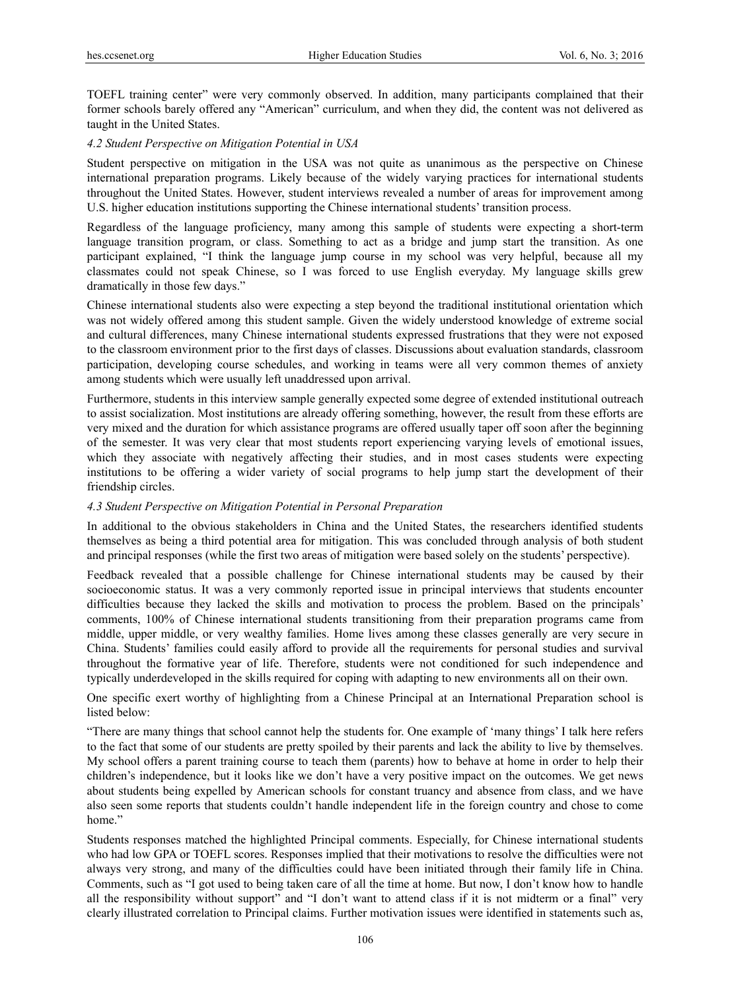TOEFL training center" were very commonly observed. In addition, many participants complained that their former schools barely offered any "American" curriculum, and when they did, the content was not delivered as taught in the United States.

#### *4.2 Student Perspective on Mitigation Potential in USA*

Student perspective on mitigation in the USA was not quite as unanimous as the perspective on Chinese international preparation programs. Likely because of the widely varying practices for international students throughout the United States. However, student interviews revealed a number of areas for improvement among U.S. higher education institutions supporting the Chinese international students' transition process.

Regardless of the language proficiency, many among this sample of students were expecting a short-term language transition program, or class. Something to act as a bridge and jump start the transition. As one participant explained, "I think the language jump course in my school was very helpful, because all my classmates could not speak Chinese, so I was forced to use English everyday. My language skills grew dramatically in those few days."

Chinese international students also were expecting a step beyond the traditional institutional orientation which was not widely offered among this student sample. Given the widely understood knowledge of extreme social and cultural differences, many Chinese international students expressed frustrations that they were not exposed to the classroom environment prior to the first days of classes. Discussions about evaluation standards, classroom participation, developing course schedules, and working in teams were all very common themes of anxiety among students which were usually left unaddressed upon arrival.

Furthermore, students in this interview sample generally expected some degree of extended institutional outreach to assist socialization. Most institutions are already offering something, however, the result from these efforts are very mixed and the duration for which assistance programs are offered usually taper off soon after the beginning of the semester. It was very clear that most students report experiencing varying levels of emotional issues, which they associate with negatively affecting their studies, and in most cases students were expecting institutions to be offering a wider variety of social programs to help jump start the development of their friendship circles.

# *4.3 Student Perspective on Mitigation Potential in Personal Preparation*

In additional to the obvious stakeholders in China and the United States, the researchers identified students themselves as being a third potential area for mitigation. This was concluded through analysis of both student and principal responses (while the first two areas of mitigation were based solely on the students' perspective).

Feedback revealed that a possible challenge for Chinese international students may be caused by their socioeconomic status. It was a very commonly reported issue in principal interviews that students encounter difficulties because they lacked the skills and motivation to process the problem. Based on the principals' comments, 100% of Chinese international students transitioning from their preparation programs came from middle, upper middle, or very wealthy families. Home lives among these classes generally are very secure in China. Students' families could easily afford to provide all the requirements for personal studies and survival throughout the formative year of life. Therefore, students were not conditioned for such independence and typically underdeveloped in the skills required for coping with adapting to new environments all on their own.

One specific exert worthy of highlighting from a Chinese Principal at an International Preparation school is listed below:

"There are many things that school cannot help the students for. One example of 'many things' I talk here refers to the fact that some of our students are pretty spoiled by their parents and lack the ability to live by themselves. My school offers a parent training course to teach them (parents) how to behave at home in order to help their children's independence, but it looks like we don't have a very positive impact on the outcomes. We get news about students being expelled by American schools for constant truancy and absence from class, and we have also seen some reports that students couldn't handle independent life in the foreign country and chose to come home."

Students responses matched the highlighted Principal comments. Especially, for Chinese international students who had low GPA or TOEFL scores. Responses implied that their motivations to resolve the difficulties were not always very strong, and many of the difficulties could have been initiated through their family life in China. Comments, such as "I got used to being taken care of all the time at home. But now, I don't know how to handle all the responsibility without support" and "I don't want to attend class if it is not midterm or a final" very clearly illustrated correlation to Principal claims. Further motivation issues were identified in statements such as,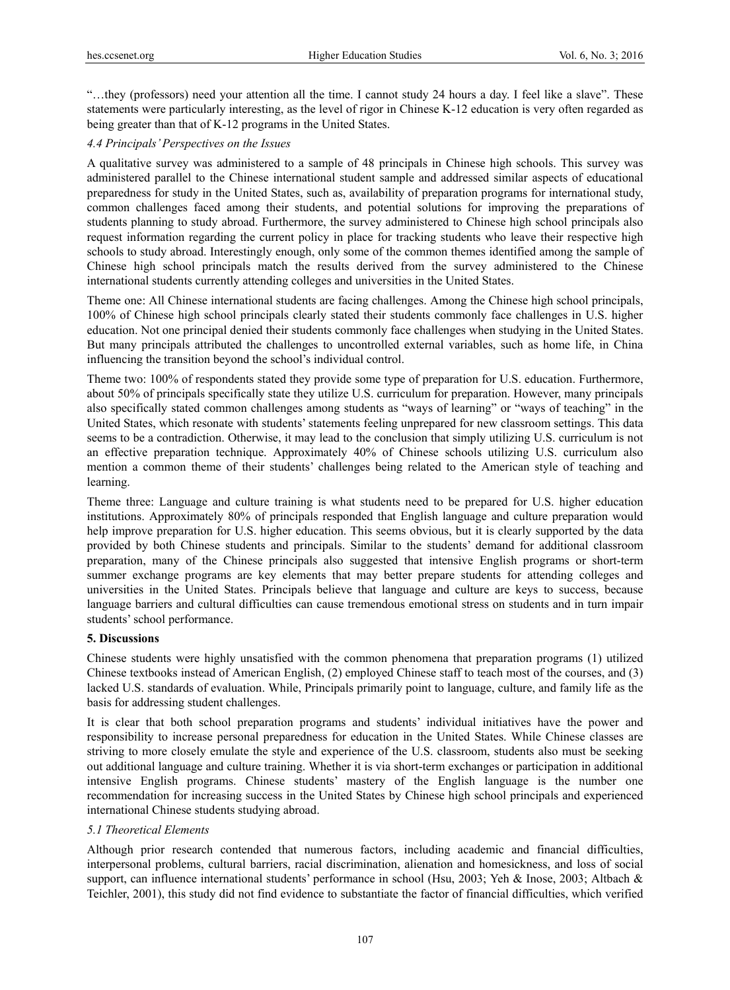"…they (professors) need your attention all the time. I cannot study 24 hours a day. I feel like a slave". These statements were particularly interesting, as the level of rigor in Chinese K-12 education is very often regarded as being greater than that of K-12 programs in the United States.

# *4.4 Principals' Perspectives on the Issues*

A qualitative survey was administered to a sample of 48 principals in Chinese high schools. This survey was administered parallel to the Chinese international student sample and addressed similar aspects of educational preparedness for study in the United States, such as, availability of preparation programs for international study, common challenges faced among their students, and potential solutions for improving the preparations of students planning to study abroad. Furthermore, the survey administered to Chinese high school principals also request information regarding the current policy in place for tracking students who leave their respective high schools to study abroad. Interestingly enough, only some of the common themes identified among the sample of Chinese high school principals match the results derived from the survey administered to the Chinese international students currently attending colleges and universities in the United States.

Theme one: All Chinese international students are facing challenges. Among the Chinese high school principals, 100% of Chinese high school principals clearly stated their students commonly face challenges in U.S. higher education. Not one principal denied their students commonly face challenges when studying in the United States. But many principals attributed the challenges to uncontrolled external variables, such as home life, in China influencing the transition beyond the school's individual control.

Theme two: 100% of respondents stated they provide some type of preparation for U.S. education. Furthermore, about 50% of principals specifically state they utilize U.S. curriculum for preparation. However, many principals also specifically stated common challenges among students as "ways of learning" or "ways of teaching" in the United States, which resonate with students' statements feeling unprepared for new classroom settings. This data seems to be a contradiction. Otherwise, it may lead to the conclusion that simply utilizing U.S. curriculum is not an effective preparation technique. Approximately 40% of Chinese schools utilizing U.S. curriculum also mention a common theme of their students' challenges being related to the American style of teaching and learning.

Theme three: Language and culture training is what students need to be prepared for U.S. higher education institutions. Approximately 80% of principals responded that English language and culture preparation would help improve preparation for U.S. higher education. This seems obvious, but it is clearly supported by the data provided by both Chinese students and principals. Similar to the students' demand for additional classroom preparation, many of the Chinese principals also suggested that intensive English programs or short-term summer exchange programs are key elements that may better prepare students for attending colleges and universities in the United States. Principals believe that language and culture are keys to success, because language barriers and cultural difficulties can cause tremendous emotional stress on students and in turn impair students' school performance.

# **5. Discussions**

Chinese students were highly unsatisfied with the common phenomena that preparation programs (1) utilized Chinese textbooks instead of American English, (2) employed Chinese staff to teach most of the courses, and (3) lacked U.S. standards of evaluation. While, Principals primarily point to language, culture, and family life as the basis for addressing student challenges.

It is clear that both school preparation programs and students' individual initiatives have the power and responsibility to increase personal preparedness for education in the United States. While Chinese classes are striving to more closely emulate the style and experience of the U.S. classroom, students also must be seeking out additional language and culture training. Whether it is via short-term exchanges or participation in additional intensive English programs. Chinese students' mastery of the English language is the number one recommendation for increasing success in the United States by Chinese high school principals and experienced international Chinese students studying abroad.

# *5.1 Theoretical Elements*

Although prior research contended that numerous factors, including academic and financial difficulties, interpersonal problems, cultural barriers, racial discrimination, alienation and homesickness, and loss of social support, can influence international students' performance in school (Hsu, 2003; Yeh & Inose, 2003; Altbach & Teichler, 2001), this study did not find evidence to substantiate the factor of financial difficulties, which verified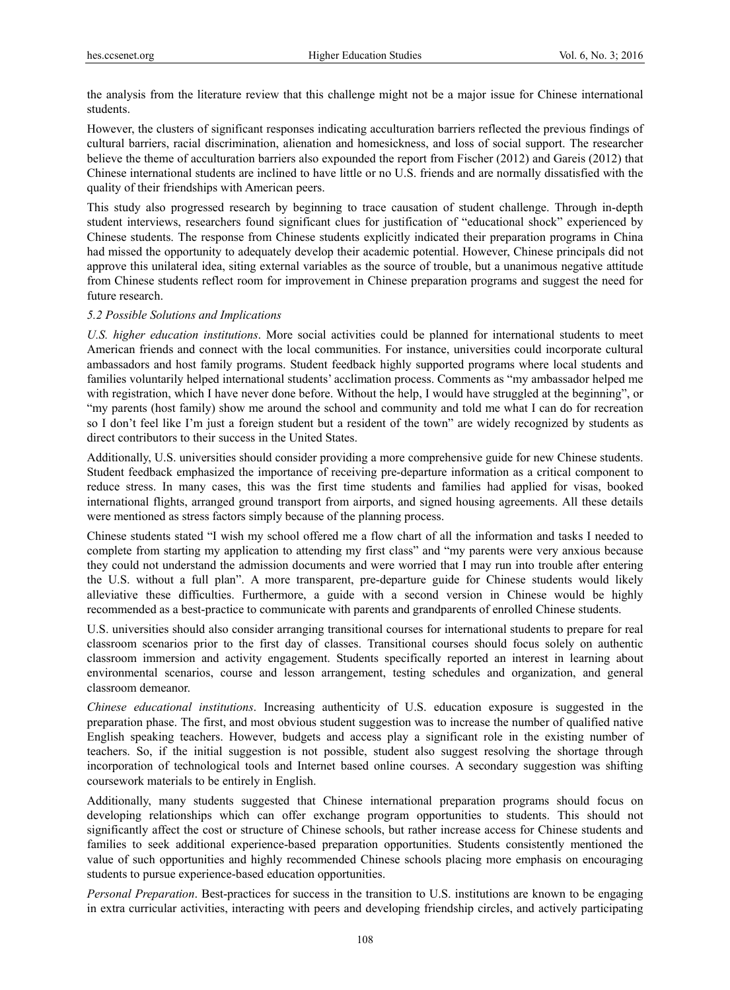the analysis from the literature review that this challenge might not be a major issue for Chinese international students.

However, the clusters of significant responses indicating acculturation barriers reflected the previous findings of cultural barriers, racial discrimination, alienation and homesickness, and loss of social support. The researcher believe the theme of acculturation barriers also expounded the report from Fischer (2012) and Gareis (2012) that Chinese international students are inclined to have little or no U.S. friends and are normally dissatisfied with the quality of their friendships with American peers.

This study also progressed research by beginning to trace causation of student challenge. Through in-depth student interviews, researchers found significant clues for justification of "educational shock" experienced by Chinese students. The response from Chinese students explicitly indicated their preparation programs in China had missed the opportunity to adequately develop their academic potential. However, Chinese principals did not approve this unilateral idea, siting external variables as the source of trouble, but a unanimous negative attitude from Chinese students reflect room for improvement in Chinese preparation programs and suggest the need for future research.

# *5.2 Possible Solutions and Implications*

*U.S. higher education institutions*. More social activities could be planned for international students to meet American friends and connect with the local communities. For instance, universities could incorporate cultural ambassadors and host family programs. Student feedback highly supported programs where local students and families voluntarily helped international students' acclimation process. Comments as "my ambassador helped me with registration, which I have never done before. Without the help, I would have struggled at the beginning", or "my parents (host family) show me around the school and community and told me what I can do for recreation so I don't feel like I'm just a foreign student but a resident of the town" are widely recognized by students as direct contributors to their success in the United States.

Additionally, U.S. universities should consider providing a more comprehensive guide for new Chinese students. Student feedback emphasized the importance of receiving pre-departure information as a critical component to reduce stress. In many cases, this was the first time students and families had applied for visas, booked international flights, arranged ground transport from airports, and signed housing agreements. All these details were mentioned as stress factors simply because of the planning process.

Chinese students stated "I wish my school offered me a flow chart of all the information and tasks I needed to complete from starting my application to attending my first class" and "my parents were very anxious because they could not understand the admission documents and were worried that I may run into trouble after entering the U.S. without a full plan". A more transparent, pre-departure guide for Chinese students would likely alleviative these difficulties. Furthermore, a guide with a second version in Chinese would be highly recommended as a best-practice to communicate with parents and grandparents of enrolled Chinese students.

U.S. universities should also consider arranging transitional courses for international students to prepare for real classroom scenarios prior to the first day of classes. Transitional courses should focus solely on authentic classroom immersion and activity engagement. Students specifically reported an interest in learning about environmental scenarios, course and lesson arrangement, testing schedules and organization, and general classroom demeanor.

*Chinese educational institutions*. Increasing authenticity of U.S. education exposure is suggested in the preparation phase. The first, and most obvious student suggestion was to increase the number of qualified native English speaking teachers. However, budgets and access play a significant role in the existing number of teachers. So, if the initial suggestion is not possible, student also suggest resolving the shortage through incorporation of technological tools and Internet based online courses. A secondary suggestion was shifting coursework materials to be entirely in English.

Additionally, many students suggested that Chinese international preparation programs should focus on developing relationships which can offer exchange program opportunities to students. This should not significantly affect the cost or structure of Chinese schools, but rather increase access for Chinese students and families to seek additional experience-based preparation opportunities. Students consistently mentioned the value of such opportunities and highly recommended Chinese schools placing more emphasis on encouraging students to pursue experience-based education opportunities.

*Personal Preparation*. Best-practices for success in the transition to U.S. institutions are known to be engaging in extra curricular activities, interacting with peers and developing friendship circles, and actively participating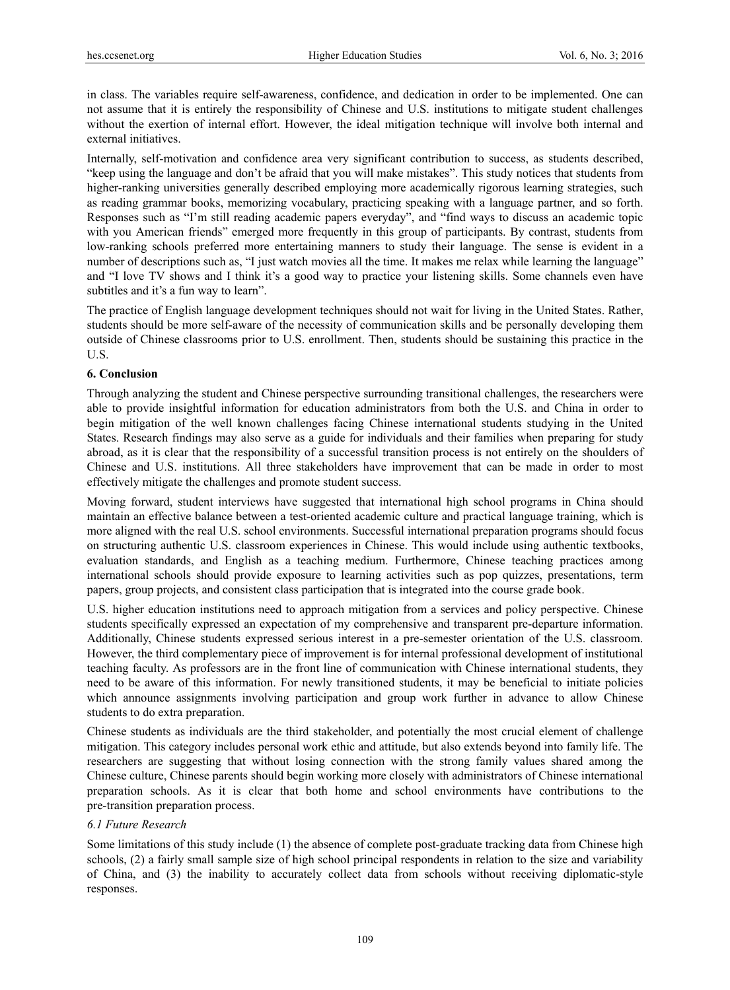in class. The variables require self-awareness, confidence, and dedication in order to be implemented. One can not assume that it is entirely the responsibility of Chinese and U.S. institutions to mitigate student challenges without the exertion of internal effort. However, the ideal mitigation technique will involve both internal and external initiatives.

Internally, self-motivation and confidence area very significant contribution to success, as students described, "keep using the language and don't be afraid that you will make mistakes". This study notices that students from higher-ranking universities generally described employing more academically rigorous learning strategies, such as reading grammar books, memorizing vocabulary, practicing speaking with a language partner, and so forth. Responses such as "I'm still reading academic papers everyday", and "find ways to discuss an academic topic with you American friends" emerged more frequently in this group of participants. By contrast, students from low-ranking schools preferred more entertaining manners to study their language. The sense is evident in a number of descriptions such as, "I just watch movies all the time. It makes me relax while learning the language" and "I love TV shows and I think it's a good way to practice your listening skills. Some channels even have subtitles and it's a fun way to learn".

The practice of English language development techniques should not wait for living in the United States. Rather, students should be more self-aware of the necessity of communication skills and be personally developing them outside of Chinese classrooms prior to U.S. enrollment. Then, students should be sustaining this practice in the U.S.

# **6. Conclusion**

Through analyzing the student and Chinese perspective surrounding transitional challenges, the researchers were able to provide insightful information for education administrators from both the U.S. and China in order to begin mitigation of the well known challenges facing Chinese international students studying in the United States. Research findings may also serve as a guide for individuals and their families when preparing for study abroad, as it is clear that the responsibility of a successful transition process is not entirely on the shoulders of Chinese and U.S. institutions. All three stakeholders have improvement that can be made in order to most effectively mitigate the challenges and promote student success.

Moving forward, student interviews have suggested that international high school programs in China should maintain an effective balance between a test-oriented academic culture and practical language training, which is more aligned with the real U.S. school environments. Successful international preparation programs should focus on structuring authentic U.S. classroom experiences in Chinese. This would include using authentic textbooks, evaluation standards, and English as a teaching medium. Furthermore, Chinese teaching practices among international schools should provide exposure to learning activities such as pop quizzes, presentations, term papers, group projects, and consistent class participation that is integrated into the course grade book.

U.S. higher education institutions need to approach mitigation from a services and policy perspective. Chinese students specifically expressed an expectation of my comprehensive and transparent pre-departure information. Additionally, Chinese students expressed serious interest in a pre-semester orientation of the U.S. classroom. However, the third complementary piece of improvement is for internal professional development of institutional teaching faculty. As professors are in the front line of communication with Chinese international students, they need to be aware of this information. For newly transitioned students, it may be beneficial to initiate policies which announce assignments involving participation and group work further in advance to allow Chinese students to do extra preparation.

Chinese students as individuals are the third stakeholder, and potentially the most crucial element of challenge mitigation. This category includes personal work ethic and attitude, but also extends beyond into family life. The researchers are suggesting that without losing connection with the strong family values shared among the Chinese culture, Chinese parents should begin working more closely with administrators of Chinese international preparation schools. As it is clear that both home and school environments have contributions to the pre-transition preparation process.

# *6.1 Future Research*

Some limitations of this study include (1) the absence of complete post-graduate tracking data from Chinese high schools, (2) a fairly small sample size of high school principal respondents in relation to the size and variability of China, and (3) the inability to accurately collect data from schools without receiving diplomatic-style responses.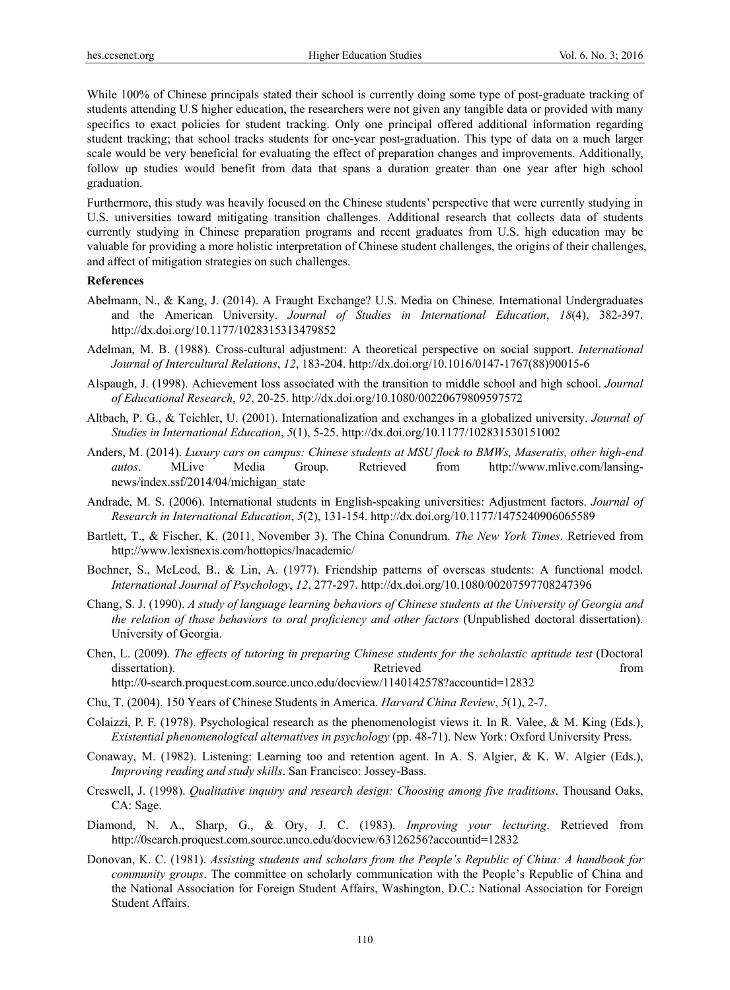While 100% of Chinese principals stated their school is currently doing some type of post-graduate tracking of students attending U.S higher education, the researchers were not given any tangible data or provided with many specifics to exact policies for student tracking. Only one principal offered additional information regarding student tracking; that school tracks students for one-year post-graduation. This type of data on a much larger scale would be very beneficial for evaluating the effect of preparation changes and improvements. Additionally, follow up studies would benefit from data that spans a duration greater than one year after high school graduation.

Furthermore, this study was heavily focused on the Chinese students' perspective that were currently studying in U.S. universities toward mitigating transition challenges. Additional research that collects data of students currently studying in Chinese preparation programs and recent graduates from U.S. high education may be valuable for providing a more holistic interpretation of Chinese student challenges, the origins of their challenges, and affect of mitigation strategies on such challenges.

#### **References**

- Abelmann, N., & Kang, J. (2014). A Fraught Exchange? U.S. Media on Chinese. International Undergraduates and the American University. *Journal of Studies in International Education*, *18*(4), 382-397. http://dx.doi.org/10.1177/1028315313479852
- Adelman, M. B. (1988). Cross-cultural adjustment: A theoretical perspective on social support. *International Journal of Intercultural Relations*, *12*, 183-204. http://dx.doi.org/10.1016/0147-1767(88)90015-6
- Alspaugh, J. (1998). Achievement loss associated with the transition to middle school and high school. *Journal of Educational Research*, *92*, 20-25. http://dx.doi.org/10.1080/00220679809597572
- Altbach, P. G., & Teichler, U. (2001). Internationalization and exchanges in a globalized university. *Journal of Studies in International Education*, *5*(1), 5-25. http://dx.doi.org/10.1177/102831530151002
- Anders, M. (2014). *Luxury cars on campus: Chinese students at MSU flock to BMWs, Maseratis, other high-end autos*. MLive Media Group. Retrieved from http://www.mlive.com/lansingnews/index.ssf/2014/04/michigan\_state
- Andrade, M. S. (2006). International students in English-speaking universities: Adjustment factors. *Journal of Research in International Education*, *5*(2), 131-154. http://dx.doi.org/10.1177/1475240906065589
- Bartlett, T., & Fischer, K. (2011, November 3). The China Conundrum. *The New York Times*. Retrieved from http://www.lexisnexis.com/hottopics/lnacademic/
- Bochner, S., McLeod, B., & Lin, A. (1977). Friendship patterns of overseas students: A functional model. *International Journal of Psychology*, *12*, 277-297. http://dx.doi.org/10.1080/00207597708247396
- Chang, S. J. (1990). *A study of language learning behaviors of Chinese students at the University of Georgia and the relation of those behaviors to oral proficiency and other factors* (Unpublished doctoral dissertation). University of Georgia.
- Chen, L. (2009). *The effects of tutoring in preparing Chinese students for the scholastic aptitude test* (Doctoral dissertation). Retrieved from  $\alpha$ http://0-search.proquest.com.source.unco.edu/docview/1140142578?accountid=12832
- Chu, T. (2004). 150 Years of Chinese Students in America. *Harvard China Review*, *5*(1), 2-7.
- Colaizzi, P. F. (1978). Psychological research as the phenomenologist views it. In R. Valee, & M. King (Eds.), *Existential phenomenological alternatives in psychology* (pp. 48-71). New York: Oxford University Press.
- Conaway, M. (1982). Listening: Learning too and retention agent. In A. S. Algier, & K. W. Algier (Eds.), *Improving reading and study skills*. San Francisco: Jossey-Bass.
- Creswell, J. (1998). *Qualitative inquiry and research design: Choosing among five traditions*. Thousand Oaks, CA: Sage.
- Diamond, N. A., Sharp, G., & Ory, J. C. (1983). *Improving your lecturing*. Retrieved from http://0search.proquest.com.source.unco.edu/docview/63126256?accountid=12832
- Donovan, K. C. (1981). *Assisting students and scholars from the People's Republic of China: A handbook for community groups*. The committee on scholarly communication with the People's Republic of China and the National Association for Foreign Student Affairs, Washington, D.C.: National Association for Foreign Student Affairs.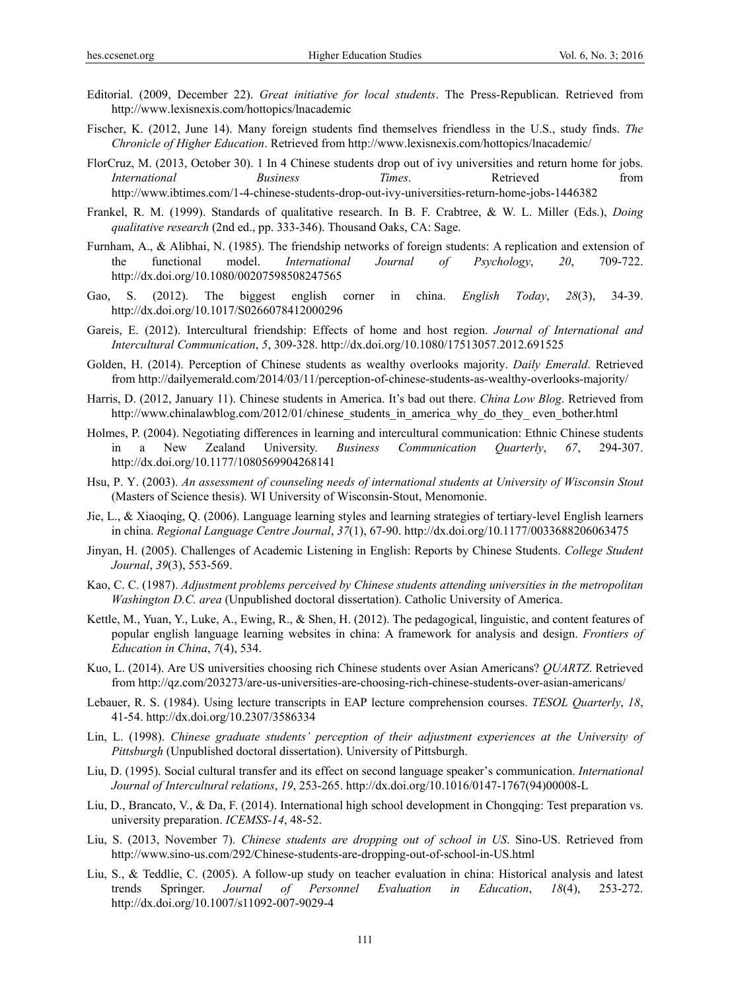- Editorial. (2009, December 22). *Great initiative for local students*. The Press-Republican. Retrieved from http://www.lexisnexis.com/hottopics/lnacademic
- Fischer, K. (2012, June 14). Many foreign students find themselves friendless in the U.S., study finds. *The Chronicle of Higher Education*. Retrieved from http://www.lexisnexis.com/hottopics/lnacademic/
- FlorCruz, M. (2013, October 30). 1 In 4 Chinese students drop out of ivy universities and return home for jobs. *International Business Times*. Retrieved from http://www.ibtimes.com/1-4-chinese-students-drop-out-ivy-universities-return-home-jobs-1446382
- Frankel, R. M. (1999). Standards of qualitative research. In B. F. Crabtree, & W. L. Miller (Eds.), *Doing qualitative research* (2nd ed., pp. 333-346). Thousand Oaks, CA: Sage.
- Furnham, A., & Alibhai, N. (1985). The friendship networks of foreign students: A replication and extension of the functional model. *International Journal of Psychology*, *20*, 709-722. http://dx.doi.org/10.1080/00207598508247565
- Gao, S. (2012). The biggest english corner in china. *English Today*, *28*(3), 34-39. http://dx.doi.org/10.1017/S0266078412000296
- Gareis, E. (2012). Intercultural friendship: Effects of home and host region. *Journal of International and Intercultural Communication*, *5*, 309-328. http://dx.doi.org/10.1080/17513057.2012.691525
- Golden, H. (2014). Perception of Chinese students as wealthy overlooks majority. *Daily Emerald*. Retrieved from http://dailyemerald.com/2014/03/11/perception-of-chinese-students-as-wealthy-overlooks-majority/
- Harris, D. (2012, January 11). Chinese students in America. It's bad out there. *China Low Blog*. Retrieved from http://www.chinalawblog.com/2012/01/chinese\_students\_in\_america\_why\_do\_they\_ even\_bother.html
- Holmes, P. (2004). Negotiating differences in learning and intercultural communication: Ethnic Chinese students in a New Zealand University. *Business Communication Quarterly*, *67*, 294-307. http://dx.doi.org/10.1177/1080569904268141
- Hsu, P. Y. (2003). *An assessment of counseling needs of international students at University of Wisconsin Stout* (Masters of Science thesis). WI University of Wisconsin-Stout, Menomonie.
- Jie, L., & Xiaoqing, Q. (2006). Language learning styles and learning strategies of tertiary-level English learners in china. *Regional Language Centre Journal*, *37*(1), 67-90. http://dx.doi.org/10.1177/0033688206063475
- Jinyan, H. (2005). Challenges of Academic Listening in English: Reports by Chinese Students. *College Student Journal*, *39*(3), 553-569.
- Kao, C. C. (1987). *Adjustment problems perceived by Chinese students attending universities in the metropolitan Washington D.C. area* (Unpublished doctoral dissertation). Catholic University of America.
- Kettle, M., Yuan, Y., Luke, A., Ewing, R., & Shen, H. (2012). The pedagogical, linguistic, and content features of popular english language learning websites in china: A framework for analysis and design. *Frontiers of Education in China*, *7*(4), 534.
- Kuo, L. (2014). Are US universities choosing rich Chinese students over Asian Americans? *QUARTZ*. Retrieved from http://qz.com/203273/are-us-universities-are-choosing-rich-chinese-students-over-asian-americans/
- Lebauer, R. S. (1984). Using lecture transcripts in EAP lecture comprehension courses. *TESOL Quarterly*, *18*, 41-54. http://dx.doi.org/10.2307/3586334
- Lin, L. (1998). *Chinese graduate students' perception of their adjustment experiences at the University of Pittsburgh* (Unpublished doctoral dissertation). University of Pittsburgh.
- Liu, D. (1995). Social cultural transfer and its effect on second language speaker's communication. *International Journal of Intercultural relations*, *19*, 253-265. http://dx.doi.org/10.1016/0147-1767(94)00008-L
- Liu, D., Brancato, V., & Da, F. (2014). International high school development in Chongqing: Test preparation vs. university preparation. *ICEMSS-14*, 48-52.
- Liu, S. (2013, November 7). *Chinese students are dropping out of school in US*. Sino-US. Retrieved from http://www.sino-us.com/292/Chinese-students-are-dropping-out-of-school-in-US.html
- Liu, S., & Teddlie, C. (2005). A follow-up study on teacher evaluation in china: Historical analysis and latest trends Springer. *Journal of Personnel Evaluation in Education*, *18*(4), 253-272. http://dx.doi.org/10.1007/s11092-007-9029-4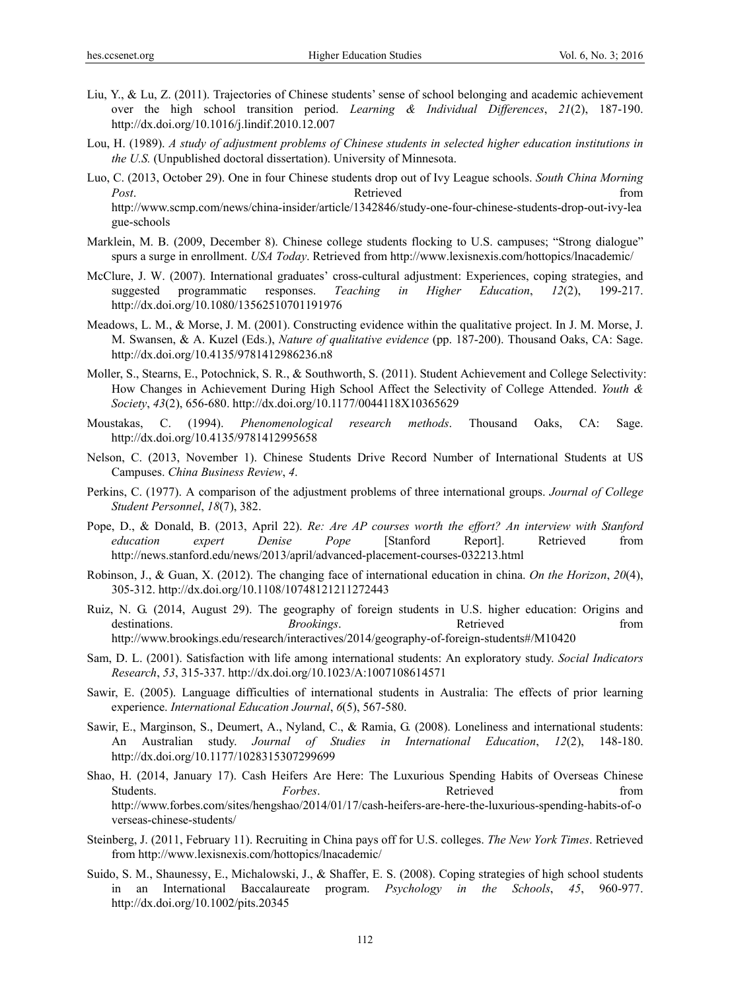- Liu, Y., & Lu, Z. (2011). Trajectories of Chinese students' sense of school belonging and academic achievement over the high school transition period. *Learning & Individual Differences*, *21*(2), 187-190. http://dx.doi.org/10.1016/j.lindif.2010.12.007
- Lou, H. (1989). *A study of adjustment problems of Chinese students in selected higher education institutions in the U.S.* (Unpublished doctoral dissertation). University of Minnesota.
- Luo, C. (2013, October 29). One in four Chinese students drop out of Ivy League schools. *South China Morning Post.* Retrieved from **Retrieved** from *Post*. http://www.scmp.com/news/china-insider/article/1342846/study-one-four-chinese-students-drop-out-ivy-lea gue-schools
- Marklein, M. B. (2009, December 8). Chinese college students flocking to U.S. campuses; "Strong dialogue" spurs a surge in enrollment. *USA Today*. Retrieved from http://www.lexisnexis.com/hottopics/lnacademic/
- McClure, J. W. (2007). International graduates' cross-cultural adjustment: Experiences, coping strategies, and suggested programmatic responses. *Teaching in Higher Education*, *12*(2), 199-217. http://dx.doi.org/10.1080/13562510701191976
- Meadows, L. M., & Morse, J. M. (2001). Constructing evidence within the qualitative project. In J. M. Morse, J. M. Swansen, & A. Kuzel (Eds.), *Nature of qualitative evidence* (pp. 187-200). Thousand Oaks, CA: Sage. http://dx.doi.org/10.4135/9781412986236.n8
- Moller, S., Stearns, E., Potochnick, S. R., & Southworth, S. (2011). Student Achievement and College Selectivity: How Changes in Achievement During High School Affect the Selectivity of College Attended. *Youth & Society*, *43*(2), 656-680. http://dx.doi.org/10.1177/0044118X10365629
- Moustakas, C. (1994). *Phenomenological research methods*. Thousand Oaks, CA: Sage. http://dx.doi.org/10.4135/9781412995658
- Nelson, C. (2013, November 1). Chinese Students Drive Record Number of International Students at US Campuses. *China Business Review*, *4*.
- Perkins, C. (1977). A comparison of the adjustment problems of three international groups. *Journal of College Student Personnel*, *18*(7), 382.
- Pope, D., & Donald, B. (2013, April 22). *Re: Are AP courses worth the effort? An interview with Stanford education expert Denise Pope* [Stanford Report]. Retrieved from http://news.stanford.edu/news/2013/april/advanced-placement-courses-032213.html
- Robinson, J., & Guan, X. (2012). The changing face of international education in china. *On the Horizon*, *20*(4), 305-312. http://dx.doi.org/10.1108/10748121211272443
- Ruiz, N. G. (2014, August 29). The geography of foreign students in U.S. higher education: Origins and destinations. *Brookings*. Retrieved from http://www.brookings.edu/research/interactives/2014/geography-of-foreign-students#/M10420
- Sam, D. L. (2001). Satisfaction with life among international students: An exploratory study. *Social Indicators Research*, *53*, 315-337. http://dx.doi.org/10.1023/A:1007108614571
- Sawir, E. (2005). Language difficulties of international students in Australia: The effects of prior learning experience. *International Education Journal*, *6*(5), 567-580.
- Sawir, E., Marginson, S., Deumert, A., Nyland, C., & Ramia, G. (2008). Loneliness and international students: An Australian study. *Journal of Studies in International Education*, *12*(2), 148-180. http://dx.doi.org/10.1177/1028315307299699
- Shao, H. (2014, January 17). Cash Heifers Are Here: The Luxurious Spending Habits of Overseas Chinese Students. *Forbes*. **Retrieved https://example.org/state.org/state.org/state.org/state.org/state.org/state.org/state.org/state.org/state.org/state.org/state.org/state.org/state.org/state.org/state.org/state.org/state.o** http://www.forbes.com/sites/hengshao/2014/01/17/cash-heifers-are-here-the-luxurious-spending-habits-of-o verseas-chinese-students/
- Steinberg, J. (2011, February 11). Recruiting in China pays off for U.S. colleges. *The New York Times*. Retrieved from http://www.lexisnexis.com/hottopics/lnacademic/
- Suido, S. M., Shaunessy, E., Michalowski, J., & Shaffer, E. S. (2008). Coping strategies of high school students in an International Baccalaureate program. *Psychology in the Schools*, *45*, 960-977. http://dx.doi.org/10.1002/pits.20345